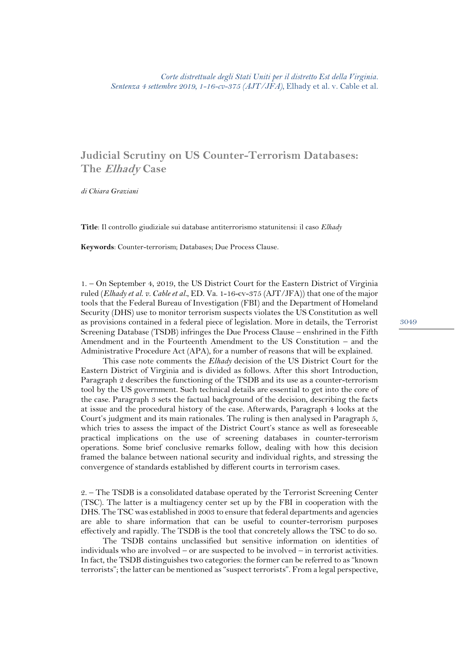## **Judicial Scrutiny on US Counter-Terrorism Databases: The Elhady Case**

*di Chiara Graziani*

**Title**: Il controllo giudiziale sui database antiterrorismo statunitensi: il caso *Elhady*

**Keywords**: Counter-terrorism; Databases; Due Process Clause.

1. – On September 4, 2019, the US District Court for the Eastern District of Virginia ruled (*Elhady et al. v. Cable et al.*, ED. Va. 1-16-cv-375 (AJT/JFA)) that one of the major tools that the Federal Bureau of Investigation (FBI) and the Department of Homeland Security (DHS) use to monitor terrorism suspects violates the US Constitution as well as provisions contained in a federal piece of legislation. More in details, the Terrorist Screening Database (TSDB) infringes the Due Process Clause – enshrined in the Fifth Amendment and in the Fourteenth Amendment to the US Constitution – and the Administrative Procedure Act (APA), for a number of reasons that will be explained.

This case note comments the *Elhady* decision of the US District Court for the Eastern District of Virginia and is divided as follows. After this short Introduction, Paragraph 2 describes the functioning of the TSDB and its use as a counter-terrorism tool by the US government. Such technical details are essential to get into the core of the case. Paragraph 3 sets the factual background of the decision, describing the facts at issue and the procedural history of the case. Afterwards, Paragraph 4 looks at the Court's judgment and its main rationales. The ruling is then analysed in Paragraph 5, which tries to assess the impact of the District Court's stance as well as foreseeable practical implications on the use of screening databases in counter-terrorism operations. Some brief conclusive remarks follow, dealing with how this decision framed the balance between national security and individual rights, and stressing the convergence of standards established by different courts in terrorism cases.

2. – The TSDB is a consolidated database operated by the Terrorist Screening Center (TSC). The latter is a multiagency center set up by the FBI in cooperation with the DHS. The TSC was established in 2003 to ensure that federal departments and agencies are able to share information that can be useful to counter-terrorism purposes effectively and rapidly. The TSDB is the tool that concretely allows the TSC to do so.

The TSDB contains unclassified but sensitive information on identities of individuals who are involved – or are suspected to be involved – in terrorist activities. In fact, the TSDB distinguishes two categories: the former can be referred to as "known terrorists"; the latter can be mentioned as "suspect terrorists". From a legal perspective,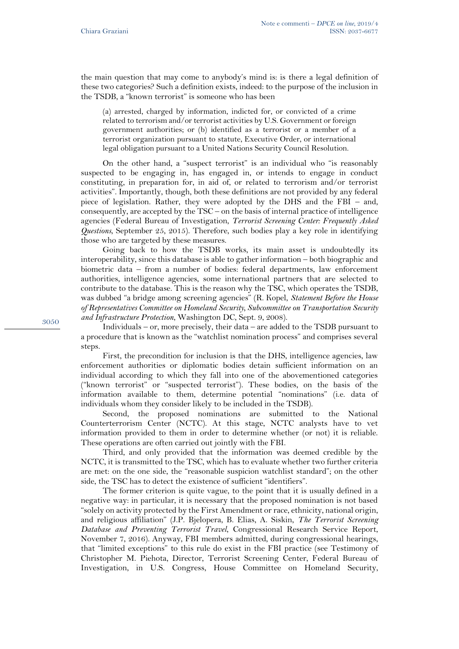the main question that may come to anybody's mind is: is there a legal definition of these two categories? Such a definition exists, indeed: to the purpose of the inclusion in the TSDB, a "known terrorist" is someone who has been

(a) arrested, charged by information, indicted for, or convicted of a crime related to terrorism and/or terrorist activities by U.S. Government or foreign government authorities; or (b) identified as a terrorist or a member of a terrorist organization pursuant to statute, Executive Order, or international legal obligation pursuant to a United Nations Security Council Resolution.

On the other hand, a "suspect terrorist" is an individual who "is reasonably suspected to be engaging in, has engaged in, or intends to engage in conduct constituting, in preparation for, in aid of, or related to terrorism and/or terrorist activities". Importantly, though, both these definitions are not provided by any federal piece of legislation. Rather, they were adopted by the DHS and the FBI – and, consequently, are accepted by the TSC – on the basis of internal practice of intelligence agencies (Federal Bureau of Investigation, *Terrorist Screening Center: Frequently Asked Questions*, September 25, 2015). Therefore, such bodies play a key role in identifying those who are targeted by these measures.

Going back to how the TSDB works, its main asset is undoubtedly its interoperability, since this database is able to gather information – both biographic and biometric data – from a number of bodies: federal departments, law enforcement authorities, intelligence agencies, some international partners that are selected to contribute to the database. This is the reason why the TSC, which operates the TSDB, was dubbed "a bridge among screening agencies" (R. Kopel, *Statement Before the House of Representatives Committee on Homeland Security, Subcommittee on Transportation Security and Infrastructure Protection*, Washington DC, Sept. 9, 2008).

Individuals – or, more precisely, their data – are added to the TSDB pursuant to a procedure that is known as the "watchlist nomination process" and comprises several steps.

First, the precondition for inclusion is that the DHS, intelligence agencies, law enforcement authorities or diplomatic bodies detain sufficient information on an individual according to which they fall into one of the abovementioned categories ("known terrorist" or "suspected terrorist"). These bodies, on the basis of the information available to them, determine potential "nominations" (i.e. data of individuals whom they consider likely to be included in the TSDB).

Second, the proposed nominations are submitted to the National Counterterrorism Center (NCTC). At this stage, NCTC analysts have to vet information provided to them in order to determine whether (or not) it is reliable. These operations are often carried out jointly with the FBI.

Third, and only provided that the information was deemed credible by the NCTC, it is transmitted to the TSC, which has to evaluate whether two further criteria are met: on the one side, the "reasonable suspicion watchlist standard"; on the other side, the TSC has to detect the existence of sufficient "identifiers".

The former criterion is quite vague, to the point that it is usually defined in a negative way: in particular, it is necessary that the proposed nomination is not based "solely on activity protected by the First Amendment or race, ethnicity, national origin, and religious affiliation" (J.P. Bjelopera, B. Elias, A. Siskin, *The Terrorist Screening Database and Preventing Terrorist Travel*, Congressional Research Service Report, November 7, 2016). Anyway, FBI members admitted, during congressional hearings, that "limited exceptions" to this rule do exist in the FBI practice (see Testimony of Christopher M. Piehota, Director, Terrorist Screening Center, Federal Bureau of Investigation, in U.S. Congress, House Committee on Homeland Security,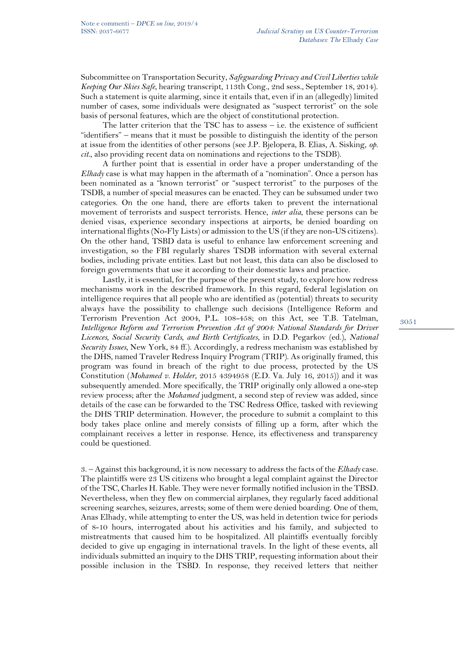Subcommittee on Transportation Security, *Safeguarding Privacy and Civil Liberties while Keeping Our Skies Safe*, hearing transcript, 113th Cong., 2nd sess., September 18, 2014). Such a statement is quite alarming, since it entails that, even if in an (allegedly) limited number of cases, some individuals were designated as "suspect terrorist" on the sole basis of personal features, which are the object of constitutional protection.

The latter criterion that the TSC has to assess  $-$  i.e. the existence of sufficient "identifiers" – means that it must be possible to distinguish the identity of the person at issue from the identities of other persons (see J.P. Bjelopera, B. Elias, A. Sisking, *op. cit.*, also providing recent data on nominations and rejections to the TSDB).

A further point that is essential in order have a proper understanding of the *Elhady* case is what may happen in the aftermath of a "nomination". Once a person has been nominated as a "known terrorist" or "suspect terrorist" to the purposes of the TSDB, a number of special measures can be enacted. They can be subsumed under two categories. On the one hand, there are efforts taken to prevent the international movement of terrorists and suspect terrorists. Hence, *inter alia*, these persons can be denied visas, experience secondary inspections at airports, be denied boarding on international flights (No-Fly Lists) or admission to the US (if they are non-US citizens). On the other hand, TSBD data is useful to enhance law enforcement screening and investigation, so the FBI regularly shares TSDB information with several external bodies, including private entities. Last but not least, this data can also be disclosed to foreign governments that use it according to their domestic laws and practice.

Lastly, it is essential, for the purpose of the present study, to explore how redress mechanisms work in the described framework. In this regard, federal legislation on intelligence requires that all people who are identified as (potential) threats to security always have the possibility to challenge such decisions (Intelligence Reform and Terrorism Prevention Act 2004, P.L. 108-458; on this Act, see T.B. Tatelman, *Intelligence Reform and Terrorism Prevention Act of 2004: National Standards for Driver Licences, Social Security Cards, and Birth Certificates*, in D.D. Pegarkov (ed.), *National Security Issues*, New York, 84 ff.). Accordingly, a redress mechanism was established by the DHS, named Traveler Redress Inquiry Program (TRIP). As originally framed, this program was found in breach of the right to due process, protected by the US Constitution (*Mohamed v. Holder*, 2015 4394958 (E.D. Va. July 16, 2015)) and it was subsequently amended. More specifically, the TRIP originally only allowed a one-step review process; after the *Mohamed* judgment, a second step of review was added, since details of the case can be forwarded to the TSC Redress Office, tasked with reviewing the DHS TRIP determination. However, the procedure to submit a complaint to this body takes place online and merely consists of filling up a form, after which the complainant receives a letter in response. Hence, its effectiveness and transparency could be questioned.

3. – Against this background, it is now necessary to address the facts of the *Elhady* case. The plaintiffs were 23 US citizens who brought a legal complaint against the Director of the TSC, Charles H. Kable. They were never formally notified inclusion in the TBSD. Nevertheless, when they flew on commercial airplanes, they regularly faced additional screening searches, seizures, arrests; some of them were denied boarding. One of them, Anas Elhady, while attempting to enter the US, was held in detention twice for periods of 8-10 hours, interrogated about his activities and his family, and subjected to mistreatments that caused him to be hospitalized. All plaintiffs eventually forcibly decided to give up engaging in international travels. In the light of these events, all individuals submitted an inquiry to the DHS TRIP, requesting information about their possible inclusion in the TSBD. In response, they received letters that neither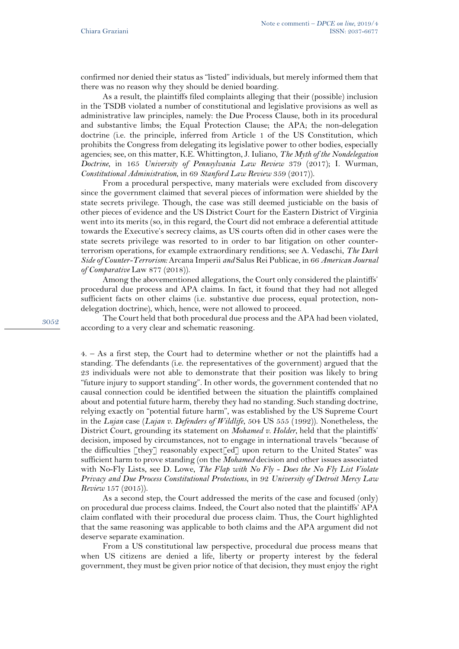confirmed nor denied their status as "listed" individuals, but merely informed them that there was no reason why they should be denied boarding.

As a result, the plaintiffs filed complaints alleging that their (possible) inclusion in the TSDB violated a number of constitutional and legislative provisions as well as administrative law principles, namely: the Due Process Clause, both in its procedural and substantive limbs; the Equal Protection Clause; the APA; the non-delegation doctrine (i.e. the principle, inferred from Article 1 of the US Constitution, which prohibits the Congress from delegating its legislative power to other bodies, especially agencies; see, on this matter, K.E. Whittington, J. Iuliano, *The Myth of the Nondelegation Doctrine*, in 165 *University of Pennsylvania Law Review* 379 (2017); I. Wurman, *Constitutional Administration*, in 69 *Stanford Law Review* 359 (2017)).

From a procedural perspective, many materials were excluded from discovery since the government claimed that several pieces of information were shielded by the state secrets privilege. Though, the case was still deemed justiciable on the basis of other pieces of evidence and the US District Court for the Eastern District of Virginia went into its merits (so, in this regard, the Court did not embrace a deferential attitude towards the Executive's secrecy claims, as US courts often did in other cases were the state secrets privilege was resorted to in order to bar litigation on other counterterrorism operations, for example extraordinary renditions; see A. Vedaschi, *The Dark Side of Counter-Terrorism:* Arcana Imperii *and* Salus Rei Publicae, in 66 *American Journal of Comparative* Law 877 (2018)).

Among the abovementioned allegations, the Court only considered the plaintiffs' procedural due process and APA claims. In fact, it found that they had not alleged sufficient facts on other claims (i.e. substantive due process, equal protection, nondelegation doctrine), which, hence, were not allowed to proceed.

The Court held that both procedural due process and the APA had been violated, according to a very clear and schematic reasoning.

4. – As a first step, the Court had to determine whether or not the plaintiffs had a standing. The defendants (i.e. the representatives of the government) argued that the 23 individuals were not able to demonstrate that their position was likely to bring "future injury to support standing". In other words, the government contended that no causal connection could be identified between the situation the plaintiffs complained about and potential future harm, thereby they had no standing. Such standing doctrine, relying exactly on "potential future harm", was established by the US Supreme Court in the *Lujan* case (*Lujan v. Defenders of Wildlife*, 504 US 555 (1992)). Nonetheless, the District Court, grounding its statement on *Mohamed v. Holder*, held that the plaintiffs' decision, imposed by circumstances, not to engage in international travels "because of the difficulties [they] reasonably expect[ed] upon return to the United States" was sufficient harm to prove standing (on the *Mohamed* decision and other issues associated with No-Fly Lists, see D. Lowe, *The Flap with No Fly - Does the No Fly List Violate Privacy and Due Process Constitutional Protections*, in 92 *University of Detroit Mercy Law Review* 157 (2015)).

As a second step, the Court addressed the merits of the case and focused (only) on procedural due process claims. Indeed, the Court also noted that the plaintiffs' APA claim conflated with their procedural due process claim. Thus, the Court highlighted that the same reasoning was applicable to both claims and the APA argument did not deserve separate examination.

From a US constitutional law perspective, procedural due process means that when US citizens are denied a life, liberty or property interest by the federal government, they must be given prior notice of that decision, they must enjoy the right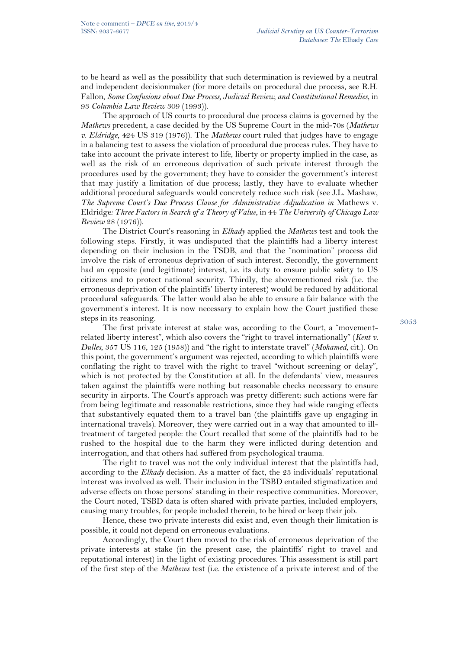to be heard as well as the possibility that such determination is reviewed by a neutral and independent decisionmaker (for more details on procedural due process, see R.H. Fallon, *Some Confusions about Due Process, Judicial Review, and Constitutional Remedies*, in 93 *Columbia Law Review* 309 (1993)).

The approach of US courts to procedural due process claims is governed by the *Mathews* precedent, a case decided by the US Supreme Court in the mid-70s (*Mathews v. Eldridge*, 424 US 319 (1976)). The *Mathews* court ruled that judges have to engage in a balancing test to assess the violation of procedural due process rules. They have to take into account the private interest to life, liberty or property implied in the case, as well as the risk of an erroneous deprivation of such private interest through the procedures used by the government; they have to consider the government's interest that may justify a limitation of due process; lastly, they have to evaluate whether additional procedural safeguards would concretely reduce such risk (see J.L. Mashaw, *The Supreme Court's Due Process Clause for Administrative Adjudication in Mathews v.* Eldridge*: Three Factors in Search of a Theory of Value*, in 44 *The University of Chicago Law Review* 28 (1976)).

The District Court's reasoning in *Elhady* applied the *Mathews* test and took the following steps. Firstly, it was undisputed that the plaintiffs had a liberty interest depending on their inclusion in the TSDB, and that the "nomination" process did involve the risk of erroneous deprivation of such interest. Secondly, the government had an opposite (and legitimate) interest, i.e. its duty to ensure public safety to US citizens and to protect national security. Thirdly, the abovementioned risk (i.e. the erroneous deprivation of the plaintiffs' liberty interest) would be reduced by additional procedural safeguards. The latter would also be able to ensure a fair balance with the government's interest. It is now necessary to explain how the Court justified these steps in its reasoning.

The first private interest at stake was, according to the Court, a "movementrelated liberty interest", which also covers the "right to travel internationally" (*Kent v. Dulles*, 357 US 116, 125 (1958)) and "the right to interstate travel" (*Mohamed*, cit.). On this point, the government's argument was rejected, according to which plaintiffs were conflating the right to travel with the right to travel "without screening or delay", which is not protected by the Constitution at all. In the defendants' view, measures taken against the plaintiffs were nothing but reasonable checks necessary to ensure security in airports. The Court's approach was pretty different: such actions were far from being legitimate and reasonable restrictions, since they had wide ranging effects that substantively equated them to a travel ban (the plaintiffs gave up engaging in international travels). Moreover, they were carried out in a way that amounted to illtreatment of targeted people: the Court recalled that some of the plaintiffs had to be rushed to the hospital due to the harm they were inflicted during detention and interrogation, and that others had suffered from psychological trauma.

The right to travel was not the only individual interest that the plaintiffs had, according to the *Elhady* decision. As a matter of fact, the 23 individuals' reputational interest was involved as well. Their inclusion in the TSBD entailed stigmatization and adverse effects on those persons' standing in their respective communities. Moreover, the Court noted, TSBD data is often shared with private parties, included employers, causing many troubles, for people included therein, to be hired or keep their job.

Hence, these two private interests did exist and, even though their limitation is possible, it could not depend on erroneous evaluations.

Accordingly, the Court then moved to the risk of erroneous deprivation of the private interests at stake (in the present case, the plaintiffs' right to travel and reputational interest) in the light of existing procedures. This assessment is still part of the first step of the *Mathews* test (i.e. the existence of a private interest and of the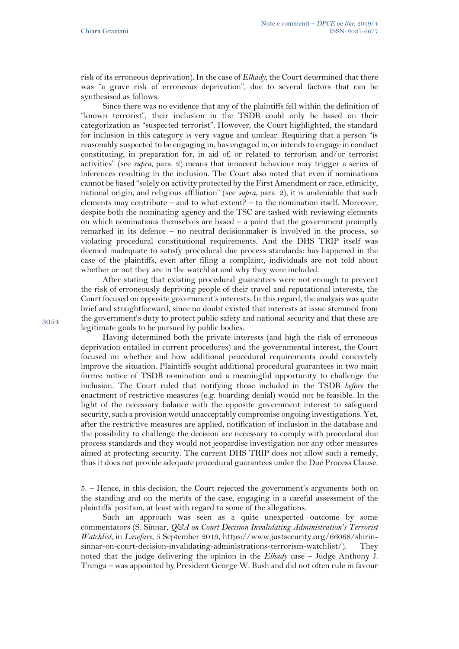risk of its erroneous deprivation). In the case of *Elhady*, the Court determined that there was "a grave risk of erroneous deprivation", due to several factors that can be synthesised as follows.

Since there was no evidence that any of the plaintiffs fell within the definition of "known terrorist", their inclusion in the TSDB could only be based on their categorization as "suspected terrorist". However, the Court highlighted, the standard for inclusion in this category is very vague and unclear. Requiring that a person "is reasonably suspected to be engaging in, has engaged in, or intends to engage in conduct constituting, in preparation for, in aid of, or related to terrorism and/or terrorist activities" (see *supra*, para. 2) means that innocent behaviour may trigger a series of inferences resulting in the inclusion. The Court also noted that even if nominations cannot be based "solely on activity protected by the First Amendment or race, ethnicity, national origin, and religious affiliation" (see *supra*, para. 2), it is undeniable that such elements may contribute – and to what extent? – to the nomination itself. Moreover, despite both the nominating agency and the TSC are tasked with reviewing elements on which nominations themselves are based – a point that the government promptly remarked in its defence – no neutral decisionmaker is involved in the process, so violating procedural constitutional requirements. And the DHS TRIP itself was deemed inadequate to satisfy procedural due process standards: has happened in the case of the plaintiffs, even after filing a complaint, individuals are not told about whether or not they are in the watchlist and why they were included.

After stating that existing procedural guarantees were not enough to prevent the risk of erroneously depriving people of their travel and reputational interests, the Court focused on opposite government's interests. In this regard, the analysis was quite brief and straightforward, since no doubt existed that interests at issue stemmed from the government's duty to protect public safety and national security and that these are legitimate goals to be pursued by public bodies.

Having determined both the private interests (and high the risk of erroneous deprivation entailed in current procedures) and the governmental interest, the Court focused on whether and how additional procedural requirements could concretely improve the situation. Plaintiffs sought additional procedural guarantees in two main forms: notice of TSDB nomination and a meaningful opportunity to challenge the inclusion. The Court ruled that notifying those included in the TSDB *before* the enactment of restrictive measures (e.g. boarding denial) would not be feasible. In the light of the necessary balance with the opposite government interest to safeguard security, such a provision would unacceptably compromise ongoing investigations. Yet, after the restrictive measures are applied, notification of inclusion in the database and the possibility to challenge the decision are necessary to comply with procedural due process standards and they would not jeopardise investigation nor any other measures aimed at protecting security. The current DHS TRIP does not allow such a remedy, thus it does not provide adequate procedural guarantees under the Due Process Clause.

5. – Hence, in this decision, the Court rejected the government's arguments both on the standing and on the merits of the case, engaging in a careful assessment of the plaintiffs' position, at least with regard to some of the allegations.

Such an approach was seen as a quite unexpected outcome by some commentators (S. Sinnar, *Q&A on Court Decision Invalidating Administration's Terrorist Watchlist*, in *Lawfare*, 5 September 2019, [https://www.justsecurity.org/66068/shirin](https://www.justsecurity.org/66068/shirin-sinnar-on-court-decision-invalidating-administrations-terrorism-watchlist/)[sinnar-on-court-decision-invalidating-administrations-terrorism-watchlist/\)](https://www.justsecurity.org/66068/shirin-sinnar-on-court-decision-invalidating-administrations-terrorism-watchlist/). They noted that the judge delivering the opinion in the *Elhady* case – Judge Anthony J. Trenga – was appointed by President George W. Bush and did not often rule in favour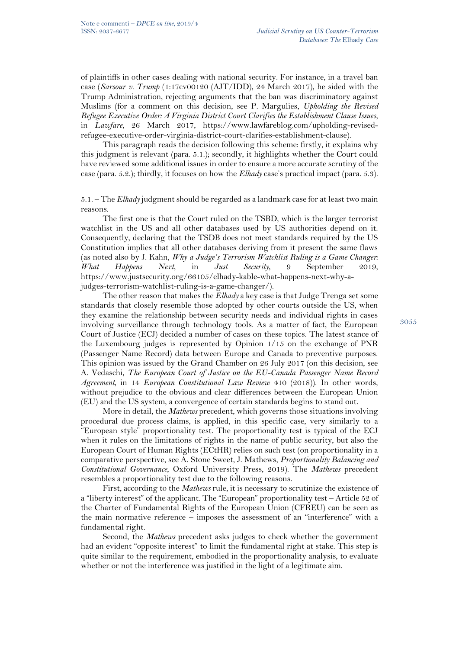of plaintiffs in other cases dealing with national security. For instance, in a travel ban case (*Sarsour v. Trump* (1:17cv00120 (AJT/IDD), 24 March 2017), he sided with the Trump Administration, rejecting arguments that the ban was discriminatory against Muslims (for a comment on this decision, see P. Margulies, *Upholding the Revised Refugee Executive Order: A Virginia District Court Clarifies the Establishment Clause Issues*, in *Lawfare*, 26 March 2017, [https://www.lawfareblog.com/upholding-revised](https://www.lawfareblog.com/upholding-revised-refugee-executive-order-virginia-district-court-clarifies-establishment-clause)[refugee-executive-order-virginia-district-court-clarifies-establishment-clause\)](https://www.lawfareblog.com/upholding-revised-refugee-executive-order-virginia-district-court-clarifies-establishment-clause).

This paragraph reads the decision following this scheme: firstly, it explains why this judgment is relevant (para. 5.1.); secondly, it highlights whether the Court could have reviewed some additional issues in order to ensure a more accurate scrutiny of the case (para. 5.2.); thirdly, it focuses on how the *Elhady* case's practical impact (para. 5.3).

5.1. – The *Elhady* judgment should be regarded as a landmark case for at least two main reasons.

The first one is that the Court ruled on the TSBD, which is the larger terrorist watchlist in the US and all other databases used by US authorities depend on it. Consequently, declaring that the TSDB does not meet standards required by the US Constitution implies that all other databases deriving from it present the same flaws (as noted also by J. Kahn, *Why a Judge's Terrorism Watchlist Ruling is a Game Changer: What Happens Next*, in *Just Security*, 9 September 2019, [https://www.justsecurity.org/66105/elhady-kable-what-happens-next-why-a](https://www.justsecurity.org/66105/elhady-kable-what-happens-next-why-a-judges-terrorism-watchlist-ruling-is-a-game-changer/)[judges-terrorism-watchlist-ruling-is-a-game-changer/\)](https://www.justsecurity.org/66105/elhady-kable-what-happens-next-why-a-judges-terrorism-watchlist-ruling-is-a-game-changer/).

The other reason that makes the *Elhady* a key case is that Judge Trenga set some standards that closely resemble those adopted by other courts outside the US, when they examine the relationship between security needs and individual rights in cases involving surveillance through technology tools. As a matter of fact, the European Court of Justice (ECJ) decided a number of cases on these topics. The latest stance of the Luxembourg judges is represented by Opinion 1/15 on the exchange of PNR (Passenger Name Record) data between Europe and Canada to preventive purposes. This opinion was issued by the Grand Chamber on 26 July 2017 (on this decision, see A. Vedaschi, *The European Court of Justice on the EU-Canada Passenger Name Record Agreement*, in 14 *European Constitutional Law Review* 410 (2018)). In other words, without prejudice to the obvious and clear differences between the European Union (EU) and the US system, a convergence of certain standards begins to stand out.

More in detail, the *Mathews* precedent, which governs those situations involving procedural due process claims, is applied, in this specific case, very similarly to a "European style" proportionality test. The proportionality test is typical of the ECJ when it rules on the limitations of rights in the name of public security, but also the European Court of Human Rights (ECtHR) relies on such test (on proportionality in a comparative perspective, see A. Stone Sweet, J. Mathews, *Proportionality Balancing and Constitutional Governance*, Oxford University Press, 2019). The *Mathews* precedent resembles a proportionality test due to the following reasons.

First, according to the *Mathews* rule, it is necessary to scrutinize the existence of a "liberty interest" of the applicant. The "European" proportionality test – Article 52 of the Charter of Fundamental Rights of the European Union (CFREU) can be seen as the main normative reference – imposes the assessment of an "interference" with a fundamental right.

Second, the *Mathews* precedent asks judges to check whether the government had an evident "opposite interest" to limit the fundamental right at stake. This step is quite similar to the requirement, embodied in the proportionality analysis, to evaluate whether or not the interference was justified in the light of a legitimate aim.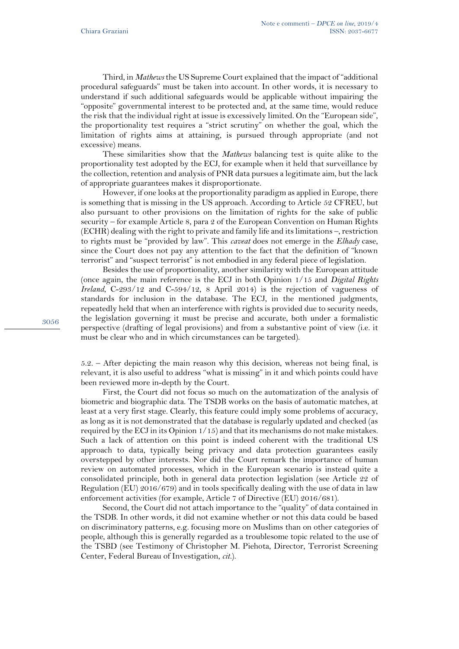Third, in *Mathews* the US Supreme Court explained that the impact of "additional procedural safeguards" must be taken into account. In other words, it is necessary to understand if such additional safeguards would be applicable without impairing the "opposite" governmental interest to be protected and, at the same time, would reduce the risk that the individual right at issue is excessively limited. On the "European side", the proportionality test requires a "strict scrutiny" on whether the goal, which the limitation of rights aims at attaining, is pursued through appropriate (and not excessive) means.

These similarities show that the *Mathews* balancing test is quite alike to the proportionality test adopted by the ECJ, for example when it held that surveillance by the collection, retention and analysis of PNR data pursues a legitimate aim, but the lack of appropriate guarantees makes it disproportionate.

However, if one looks at the proportionality paradigm as applied in Europe, there is something that is missing in the US approach. According to Article 52 CFREU, but also pursuant to other provisions on the limitation of rights for the sake of public security – for example Article 8, para 2 of the European Convention on Human Rights (ECHR) dealing with the right to private and family life and its limitations –, restriction to rights must be "provided by law". This *caveat* does not emerge in the *Elhady* case, since the Court does not pay any attention to the fact that the definition of "known terrorist" and "suspect terrorist" is not embodied in any federal piece of legislation.

Besides the use of proportionality, another similarity with the European attitude (once again, the main reference is the ECJ in both Opinion 1/15 and *Digital Rights Ireland*, C-293/12 and C-594/12, 8 April 2014) is the rejection of vagueness of standards for inclusion in the database. The ECJ, in the mentioned judgments, repeatedly held that when an interference with rights is provided due to security needs, the legislation governing it must be precise and accurate, both under a formalistic perspective (drafting of legal provisions) and from a substantive point of view (i.e. it must be clear who and in which circumstances can be targeted).

5.2. – After depicting the main reason why this decision, whereas not being final, is relevant, it is also useful to address "what is missing" in it and which points could have been reviewed more in-depth by the Court.

First, the Court did not focus so much on the automatization of the analysis of biometric and biographic data. The TSDB works on the basis of automatic matches, at least at a very first stage. Clearly, this feature could imply some problems of accuracy, as long as it is not demonstrated that the database is regularly updated and checked (as required by the ECJ in its Opinion 1/15) and that its mechanisms do not make mistakes. Such a lack of attention on this point is indeed coherent with the traditional US approach to data, typically being privacy and data protection guarantees easily overstepped by other interests. Nor did the Court remark the importance of human review on automated processes, which in the European scenario is instead quite a consolidated principle, both in general data protection legislation (see Article 22 of Regulation (EU) 2016/679) and in tools specifically dealing with the use of data in law enforcement activities (for example, Article 7 of Directive (EU) 2016/681).

Second, the Court did not attach importance to the "quality" of data contained in the TSDB. In other words, it did not examine whether or not this data could be based on discriminatory patterns, e.g. focusing more on Muslims than on other categories of people, although this is generally regarded as a troublesome topic related to the use of the TSBD (see Testimony of Christopher M. Piehota, Director, Terrorist Screening Center, Federal Bureau of Investigation, *cit.*).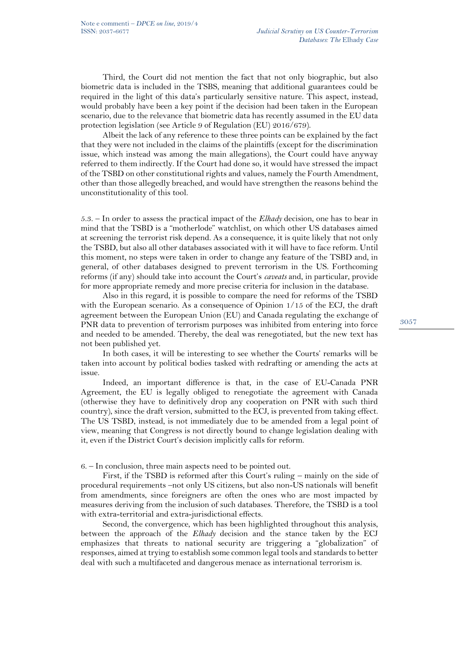Third, the Court did not mention the fact that not only biographic, but also biometric data is included in the TSBS, meaning that additional guarantees could be required in the light of this data's particularly sensitive nature. This aspect, instead, would probably have been a key point if the decision had been taken in the European scenario, due to the relevance that biometric data has recently assumed in the EU data protection legislation (see Article 9 of Regulation (EU) 2016/679).

Albeit the lack of any reference to these three points can be explained by the fact that they were not included in the claims of the plaintiffs (except for the discrimination issue, which instead was among the main allegations), the Court could have anyway referred to them indirectly. If the Court had done so, it would have stressed the impact of the TSBD on other constitutional rights and values, namely the Fourth Amendment, other than those allegedly breached, and would have strengthen the reasons behind the unconstitutionality of this tool.

5.3. – In order to assess the practical impact of the *Elhady* decision, one has to bear in mind that the TSBD is a "motherlode" watchlist, on which other US databases aimed at screening the terrorist risk depend. As a consequence, it is quite likely that not only the TSBD, but also all other databases associated with it will have to face reform. Until this moment, no steps were taken in order to change any feature of the TSBD and, in general, of other databases designed to prevent terrorism in the US. Forthcoming reforms (if any) should take into account the Court's *caveats* and, in particular, provide for more appropriate remedy and more precise criteria for inclusion in the database.

Also in this regard, it is possible to compare the need for reforms of the TSBD with the European scenario. As a consequence of Opinion 1/15 of the ECJ, the draft agreement between the European Union (EU) and Canada regulating the exchange of PNR data to prevention of terrorism purposes was inhibited from entering into force and needed to be amended. Thereby, the deal was renegotiated, but the new text has not been published yet.

In both cases, it will be interesting to see whether the Courts' remarks will be taken into account by political bodies tasked with redrafting or amending the acts at issue.

Indeed, an important difference is that, in the case of EU-Canada PNR Agreement, the EU is legally obliged to renegotiate the agreement with Canada (otherwise they have to definitively drop any cooperation on PNR with such third country), since the draft version, submitted to the ECJ, is prevented from taking effect. The US TSBD, instead, is not immediately due to be amended from a legal point of view, meaning that Congress is not directly bound to change legislation dealing with it, even if the District Court's decision implicitly calls for reform.

6. – In conclusion, three main aspects need to be pointed out.

First, if the TSBD is reformed after this Court's ruling – mainly on the side of procedural requirements –not only US citizens, but also non-US nationals will benefit from amendments, since foreigners are often the ones who are most impacted by measures deriving from the inclusion of such databases. Therefore, the TSBD is a tool with extra-territorial and extra-jurisdictional effects.

Second, the convergence, which has been highlighted throughout this analysis, between the approach of the *Elhady* decision and the stance taken by the ECJ emphasizes that threats to national security are triggering a "globalization" of responses, aimed at trying to establish some common legal tools and standards to better deal with such a multifaceted and dangerous menace as international terrorism is.